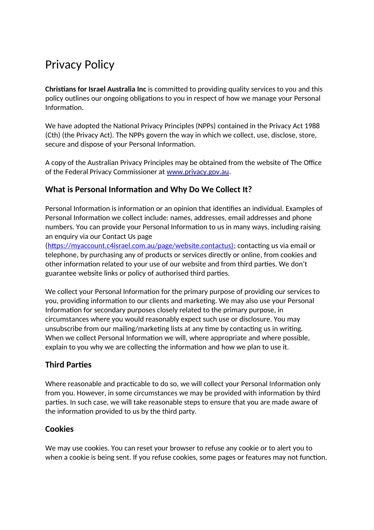# Privacy Policy

**Christians for Israel Australia Inc** is committed to providing quality services to you and this policy outlines our ongoing obligations to you in respect of how we manage your Personal Information.

We have adopted the National Privacy Principles (NPPs) contained in the Privacy Act 1988 (Cth) (the Privacy Act). The NPPs govern the way in which we collect, use, disclose, store, secure and dispose of your Personal Information.

A copy of the Australian Privacy Principles may be obtained from the website of The Office of the Federal Privacy Commissioner at [www.privacy.gov.au](http://www.privacy.gov.au/).

## **What is Personal Information and Why Do We Collect It?**

Personal Information is information or an opinion that identifies an individual. Examples of Personal Information we collect include: names, addresses, email addresses and phone numbers. You can provide your Personal Information to us in many ways, including raising an enquiry via our Contact Us page

(https://myaccount.c4israel.com.au/page/website.contactus); contacting us via email or telephone, by purchasing any of products or services directly or online, from cookies and other information related to your use of our website and from third parties. We don't guarantee website links or policy of authorised third parties.

We collect your Personal Information for the primary purpose of providing our services to you, providing information to our clients and marketing. We may also use your Personal Information for secondary purposes closely related to the primary purpose, in circumstances where you would reasonably expect such use or disclosure. You may unsubscribe from our mailing/marketing lists at any time by contacting us in writing. When we collect Personal Information we will, where appropriate and where possible, explain to you why we are collecting the information and how we plan to use it.

## **Third Parties**

Where reasonable and practicable to do so, we will collect your Personal Information only from you. However, in some circumstances we may be provided with information by third parties. In such case, we will take reasonable steps to ensure that you are made aware of the information provided to us by the third party.

### **Cookies**

We may use cookies. You can reset your browser to refuse any cookie or to alert you to when a cookie is being sent. If you refuse cookies, some pages or features may not function.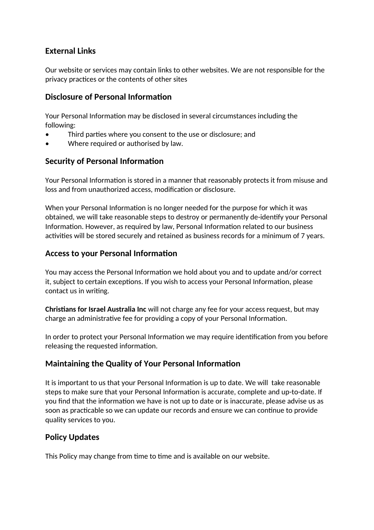## **External Links**

Our website or services may contain links to other websites. We are not responsible for the privacy practices or the contents of other sites

#### **Disclosure of Personal Information**

Your Personal Information may be disclosed in several circumstances including the following:

- Third parties where you consent to the use or disclosure; and
- Where required or authorised by law.

#### **Security of Personal Information**

Your Personal Information is stored in a manner that reasonably protects it from misuse and loss and from unauthorized access, modification or disclosure.

When your Personal Information is no longer needed for the purpose for which it was obtained, we will take reasonable steps to destroy or permanently de-identify your Personal Information. However, as required by law, Personal Information related to our business activities will be stored securely and retained as business records for a minimum of 7 years.

#### **Access to your Personal Information**

You may access the Personal Information we hold about you and to update and/or correct it, subject to certain exceptions. If you wish to access your Personal Information, please contact us in writing.

**Christians for Israel Australia Inc** will not charge any fee for your access request, but may charge an administrative fee for providing a copy of your Personal Information.

In order to protect your Personal Information we may require identification from you before releasing the requested information.

### **Maintaining the Quality of Your Personal Information**

It is important to us that your Personal Information is up to date. We will take reasonable steps to make sure that your Personal Information is accurate, complete and up-to-date. If you find that the information we have is not up to date or is inaccurate, please advise us as soon as practicable so we can update our records and ensure we can continue to provide quality services to you.

### **Policy Updates**

This Policy may change from time to time and is available on our website.